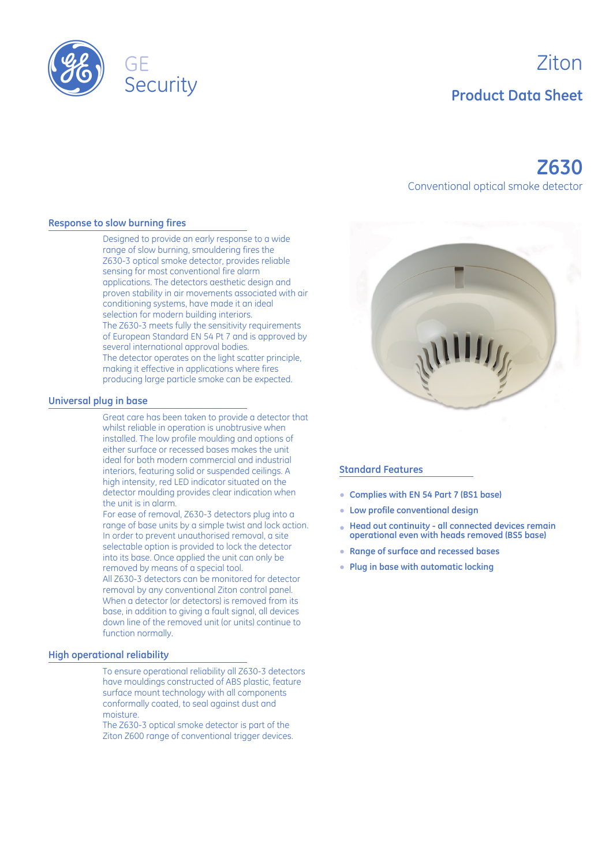

# Ziton **Product Data Sheet**

## **Z630** Conventional optical smoke detector

#### **Response to slow burning fires**

Designed to provide an early response to a wide range of slow burning, smouldering fires the Z630-3 optical smoke detector, provides reliable sensing for most conventional fire alarm applications. The detectors aesthetic design and proven stability in air movements associated with air conditioning systems, have made it an ideal selection for modern building interiors. The Z630-3 meets fully the sensitivity requirements of European Standard EN 54 Pt 7 and is approved by several international approval bodies. The detector operates on the light scatter principle, making it effective in applications where fires producing large particle smoke can be expected.

#### **Universal plug in base**

Great care has been taken to provide a detector that whilst reliable in operation is unobtrusive when installed. The low profile moulding and options of either surface or recessed bases makes the unit ideal for both modern commercial and industrial interiors, featuring solid or suspended ceilings. A high intensity, red LED indicator situated on the detector moulding provides clear indication when the unit is in alarm.

For ease of removal, Z630-3 detectors plug into a range of base units by a simple twist and lock action. In order to prevent unauthorised removal, a site selectable option is provided to lock the detector into its base. Once applied the unit can only be removed by means of a special tool. All Z630-3 detectors can be monitored for detector

removal by any conventional Ziton control panel. When a detector (or detectors) is removed from its base, in addition to giving a fault signal, all devices down line of the removed unit (or units) continue to function normally.

#### **High operational reliability**

To ensure operational reliability all Z630-3 detectors have mouldings constructed of ABS plastic, feature surface mount technology with all components conformally coated, to seal against dust and moisture.

The Z630-3 optical smoke detector is part of the Ziton Z600 range of conventional trigger devices.



#### **Standard Features**

- E **Complies with EN 54 Part 7 (BS1 base)**
- E **Low profile conventional design**
- **Head out continuity all connected devices remain operational even with heads removed (BS5 base)** E
- E**Range of surface and recessed bases**
- E **Plug in base with automatic locking**